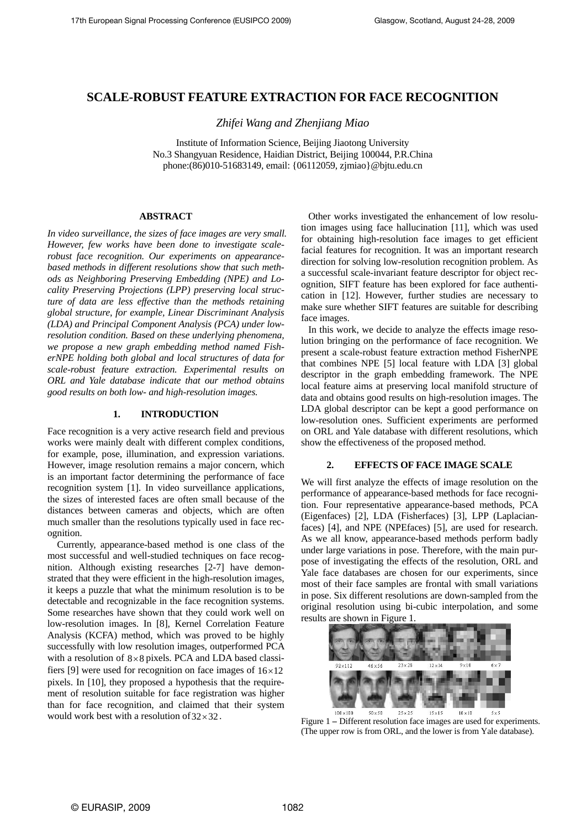# **SCALE-ROBUST FEATURE EXTRACTION FOR FACE RECOGNITION**

*Zhifei Wang and Zhenjiang Miao* 

Institute of Information Science, Beijing Jiaotong University No.3 Shangyuan Residence, Haidian District, Beijing 100044, P.R.China phone:(86)010-51683149, email: {06112059, zjmiao}@bjtu.edu.cn

## **ABSTRACT**

*In video surveillance, the sizes of face images are very small. However, few works have been done to investigate scalerobust face recognition. Our experiments on appearancebased methods in different resolutions show that such methods as Neighboring Preserving Embedding (NPE) and Locality Preserving Projections (LPP) preserving local structure of data are less effective than the methods retaining global structure, for example, Linear Discriminant Analysis (LDA) and Principal Component Analysis (PCA) under lowresolution condition. Based on these underlying phenomena, we propose a new graph embedding method named FisherNPE holding both global and local structures of data for scale-robust feature extraction. Experimental results on ORL and Yale database indicate that our method obtains good results on both low- and high-resolution images.* 

## **1. INTRODUCTION**

Face recognition is a very active research field and previous works were mainly dealt with different complex conditions, for example, pose, illumination, and expression variations. However, image resolution remains a major concern, which is an important factor determining the performance of face recognition system [1]. In video surveillance applications, the sizes of interested faces are often small because of the distances between cameras and objects, which are often much smaller than the resolutions typically used in face recognition.

Currently, appearance-based method is one class of the most successful and well-studied techniques on face recognition. Although existing researches [2-7] have demonstrated that they were efficient in the high-resolution images, it keeps a puzzle that what the minimum resolution is to be detectable and recognizable in the face recognition systems. Some researches have shown that they could work well on low-resolution images. In [8], Kernel Correlation Feature Analysis (KCFA) method, which was proved to be highly successfully with low resolution images, outperformed PCA with a resolution of  $8 \times 8$  pixels. PCA and LDA based classifiers [9] were used for recognition on face images of  $16 \times 12$ pixels. In [10], they proposed a hypothesis that the requirement of resolution suitable for face registration was higher than for face recognition, and claimed that their system would work best with a resolution of  $32 \times 32$ .

 Other works investigated the enhancement of low resolution images using face hallucination [11], which was used for obtaining high-resolution face images to get efficient facial features for recognition. It was an important research direction for solving low-resolution recognition problem. As a successful scale-invariant feature descriptor for object recognition, SIFT feature has been explored for face authentication in [12]. However, further studies are necessary to make sure whether SIFT features are suitable for describing face images.

 In this work, we decide to analyze the effects image resolution bringing on the performance of face recognition. We present a scale-robust feature extraction method FisherNPE that combines NPE [5] local feature with LDA [3] global descriptor in the graph embedding framework. The NPE local feature aims at preserving local manifold structure of data and obtains good results on high-resolution images. The LDA global descriptor can be kept a good performance on low-resolution ones. Sufficient experiments are performed on ORL and Yale database with different resolutions, which show the effectiveness of the proposed method.

## **2. EFFECTS OF FACE IMAGE SCALE**

We will first analyze the effects of image resolution on the performance of appearance-based methods for face recognition. Four representative appearance-based methods, PCA (Eigenfaces) [2], LDA (Fisherfaces) [3], LPP (Laplacianfaces) [4], and NPE (NPEfaces) [5], are used for research. As we all know, appearance-based methods perform badly under large variations in pose. Therefore, with the main purpose of investigating the effects of the resolution, ORL and Yale face databases are chosen for our experiments, since most of their face samples are frontal with small variations in pose. Six different resolutions are down-sampled from the original resolution using bi-cubic interpolation, and some results are shown in Figure 1.



Figure 1 **–** Different resolution face images are used for experiments. (The upper row is from ORL, and the lower is from Yale database).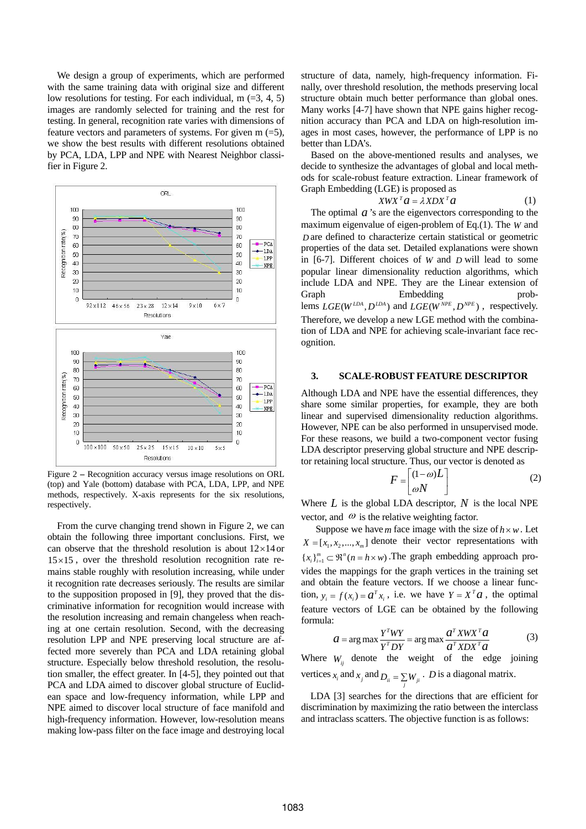We design a group of experiments, which are performed with the same training data with original size and different low resolutions for testing. For each individual,  $m$  (=3, 4, 5) images are randomly selected for training and the rest for testing. In general, recognition rate varies with dimensions of feature vectors and parameters of systems. For given  $m$  (=5), we show the best results with different resolutions obtained by PCA, LDA, LPP and NPE with Nearest Neighbor classifier in Figure 2.



Figure 2 **–** Recognition accuracy versus image resolutions on ORL (top) and Yale (bottom) database with PCA, LDA, LPP, and NPE methods, respectively. X-axis represents for the six resolutions, respectively.

From the curve changing trend shown in Figure 2, we can obtain the following three important conclusions. First, we can observe that the threshold resolution is about  $12\times14$  or  $15 \times 15$ , over the threshold resolution recognition rate remains stable roughly with resolution increasing, while under it recognition rate decreases seriously. The results are similar to the supposition proposed in [9], they proved that the discriminative information for recognition would increase with the resolution increasing and remain changeless when reaching at one certain resolution. Second, with the decreasing resolution LPP and NPE preserving local structure are affected more severely than PCA and LDA retaining global structure. Especially below threshold resolution, the resolution smaller, the effect greater. In [4-5], they pointed out that PCA and LDA aimed to discover global structure of Euclidean space and low-frequency information, while LPP and NPE aimed to discover local structure of face manifold and high-frequency information. However, low-resolution means making low-pass filter on the face image and destroying local

structure of data, namely, high-frequency information. Finally, over threshold resolution, the methods preserving local structure obtain much better performance than global ones. Many works [4-7] have shown that NPE gains higher recognition accuracy than PCA and LDA on high-resolution images in most cases, however, the performance of LPP is no better than LDA's.

Based on the above-mentioned results and analyses, we decide to synthesize the advantages of global and local methods for scale-robust feature extraction. Linear framework of Graph Embedding (LGE) is proposed as

$$
X W X^T a = \lambda X D X^T a \tag{1}
$$

lems  $LGE(W^{LDA}, D^{LDA})$  and  $LGE(W^{NPE}, D^{NPE})$ , respectively. The optimal  $\alpha$  's are the eigenvectors corresponding to the maximum eigenvalue of eigen-problem of Eq.(1). The *W* and are defined to characterize certain statistical or geometric *D* properties of the data set. Detailed explanations were shown in  $[6-7]$ . Different choices of *W* and *D* will lead to some popular linear dimensionality reduction algorithms, which include LDA and NPE. They are the Linear extension of Graph Embedding prob-Therefore, we develop a new LGE method with the combination of LDA and NPE for achieving scale-invariant face recognition.

#### **3. SCALE-ROBUST FEATURE DESCRIPTOR**

Although LDA and NPE have the essential differences, they share some similar properties, for example, they are both linear and supervised dimensionality reduction algorithms. However, NPE can be also performed in unsupervised mode. For these reasons, we build a two-component vector fusing LDA descriptor preserving global structure and NPE descriptor retaining local structure. Thus, our vector is denoted as

$$
F = \begin{bmatrix} (1 - \omega)L \\ \omega N \end{bmatrix}
$$
 (2)

Where  $L$  is the global LDA descriptor,  $N$  is the local NPE vector, and  $\omega$  is the relative weighting factor.

Suppose we have *m* face image with the size of  $h \times w$ . Let  $X = [x_1, x_2, ..., x_m]$  denote their vector representations with  ${x_i}_{i=1}^m \subset \mathbb{R}^n (n = h \times w)$ . The graph embedding approach protion,  $y_i = f(x_i) = a^T x_i$ , i.e. we have  $Y = X^T a$ , the optimal vides the mappings for the graph vertices in the training set and obtain the feature vectors. If we choose a linear funcfeature vectors of LGE can be obtained by the following formula:

$$
a = \arg \max \frac{Y^T W Y}{Y^T D Y} = \arg \max \frac{a^T X W X^T a}{a^T X D X^T a}
$$
 (3)

vertices  $x_i$  and  $x_j$  and  $D_{ii} = \sum_j W_{ji}$ . *D* is a diagonal matrix. Where  $W_{ij}$  denote the weight of the edge joining

 LDA [3] searches for the directions that are efficient for discrimination by maximizing the ratio between the interclass and intraclass scatters. The objective function is as follows: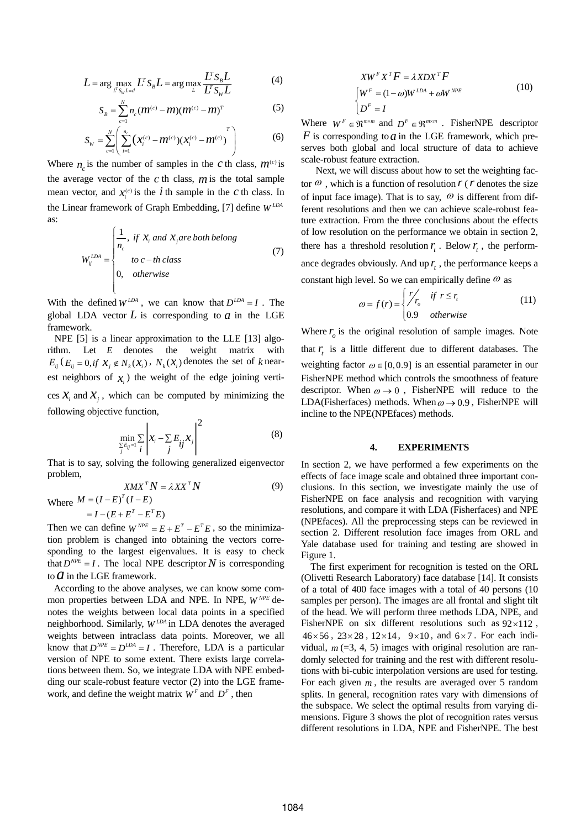$$
L = \arg \max_{L^T S_w L = d} L^T S_B L = \arg \max_{L} \frac{L^T S_B L}{L^T S_w L}
$$
(4)

$$
S_B = \sum_{c=1}^{N} n_c (m^{(c)} - m)(m^{(c)} - m)^T
$$
 (5)

$$
S_{w} = \sum_{c=1}^{N} \left( \sum_{i=1}^{n_{c}} (x_{i}^{(c)} - m^{(c)}) (x_{i}^{(c)} - m^{(c)}) \right)
$$
(6)

Where  $n_c$  is the number of samples in the *c* th class,  $m^{(c)}$  is the average vector of the *c* th class, *m* is the total sample mean vector, and  $\chi_i^{(c)}$  is the *i* th sample in the *c* th class. In the Linear framework of Graph Embedding, [7] define  $W^{LDA}$ as:

$$
W_{ij}^{LDA} = \begin{cases} \frac{1}{n_c}, & \text{if } x_i \text{ and } x_j \text{ are both belong} \\ & \text{to } c-th \text{ class} \\ 0, & \text{otherwise} \end{cases}
$$
(7)

With the defined  $W^{LDA}$ , we can know that  $D^{LDA} = I$ . The global LDA vector  $L$  is corresponding to  $a$  in the LGE framework.

 NPE [5] is a linear approximation to the LLE [13] algorithm. Let *E* denotes the weight matrix with  $E_{ij}$  ( $E_{ij} = 0$ , *if*  $X_i \notin N_k(X_i)$ ,  $N_k(X_i)$  denotes the set of *k* nearest neighbors of  $x_i$ ) the weight of the edge joining vertices  $X_i$  and  $X_i$ , which can be computed by minimizing the following objective function,

$$
\min_{\sum_{j} E_{ij} = 1} \sum_{i} \left\| x_i - \sum_{j} E_{ij} x_j \right\|^2 \tag{8}
$$

That is to say, solving the following generalized eigenvector problem,

$$
XMX^T N = \lambda XX^T N \tag{9}
$$

Where  $M = (I - E)^{T} (I - E)$ *T*  $M = (I - E)^{T} (I - E)$  $=(I - E)^{T} (I -$ 

$$
=I-(E+E^T-E^TE)
$$

Then we can define  $W^{NPE} = E + E^{T} - E^{T}E$ , so the minimizathat  $D^{NPE} = I$ . The local NPE descriptor N is corresponding tion problem is changed into obtaining the vectors corresponding to the largest eigenvalues. It is easy to check to  $\overline{a}$  in the LGE framework.

 According to the above analyses, we can know some common properties between LDA and NPE. In NPE,  $W^{NPE}$  denotes the weights between local data points in a specified neighborhood. Similarly,  $W^{LDA}$  in LDA denotes the averaged weights between intraclass data points. Moreover, we all know that  $D^{NPE} = D^{LDA} = I$ . Therefore, LDA is a particular version of NPE to some extent. There exists large correlations between them. So, we integrate LDA with NPE embedding our scale-robust feature vector (2) into the LGE framework, and define the weight matrix  $W<sup>F</sup>$  and  $D<sup>F</sup>$ , then

$$
XW^{F}X^{T}F = \lambda XDX^{T}F
$$
  
\n
$$
\begin{cases}\nW^{F} = (1 - \omega)W^{LDA} + \omega W^{NPE} \\
D^{F} = I\n\end{cases}
$$
\n(10)

Where  $W^F \in \mathbb{R}^{m \times m}$  and  $D^F \in \mathbb{R}^{m \times m}$ . FisherNPE descriptor  $F$  is corresponding to  $a$  in the LGE framework, which preserves both global and local structure of data to achieve scale-robust feature extraction.

Next, we will discuss about how to set the weighting factor  $\omega$ , which is a function of resolution  $r(r)$  denotes the size of input face image). That is to say,  $\omega$  is different from different resolutions and then we can achieve scale-robust feature extraction. From the three conclusions about the effects of low resolution on the performance we obtain in section 2, there has a threshold resolution  $r_t$ . Below  $r_t$ , the performance degrades obviously. And up  $r_t$ , the performance keeps a constant high level. So we can empirically define  $\omega$  as

$$
\omega = f(r) = \begin{cases} r'_c & \text{if } r \le r_c \\ 0.9 & \text{otherwise} \end{cases}
$$
 (11)

Where  $r<sub>o</sub>$  is the original resolution of sample images. Note that  $r_t$  is a little different due to different databases. The weighting factor  $\omega \in [0, 0.9]$  is an essential parameter in our FisherNPE method which controls the smoothness of feature descriptor. When  $\omega \rightarrow 0$ , FisherNPE will reduce to the LDA(Fisherfaces) methods. When  $\omega \rightarrow 0.9$ , FisherNPE will incline to the NPE(NPEfaces) methods.

#### **4. EXPERIMENTS**

In section 2, we have performed a few experiments on the effects of face image scale and obtained three important conclusions. In this section, we investigate mainly the use of FisherNPE on face analysis and recognition with varying resolutions, and compare it with LDA (Fisherfaces) and NPE (NPEfaces). All the preprocessing steps can be reviewed in section 2. Different resolution face images from ORL and Yale database used for training and testing are showed in Figure 1.

The first experiment for recognition is tested on the ORL (Olivetti Research Laboratory) face database [14]. It consists of a total of 400 face images with a total of 40 persons (10 samples per person). The images are all frontal and slight tilt of the head. We will perform three methods LDA, NPE, and FisherNPE on six different resolutions such as  $92 \times 112$ ,  $46 \times 56$ ,  $23 \times 28$ ,  $12 \times 14$ ,  $9 \times 10$ , and  $6 \times 7$ . For each individual,  $m$  (=3, 4, 5) images with original resolution are randomly selected for training and the rest with different resolutions with bi-cubic interpolation versions are used for testing. For each given  $m$ , the results are averaged over 5 random splits. In general, recognition rates vary with dimensions of the subspace. We select the optimal results from varying dimensions. Figure 3 shows the plot of recognition rates versus different resolutions in LDA, NPE and FisherNPE. The best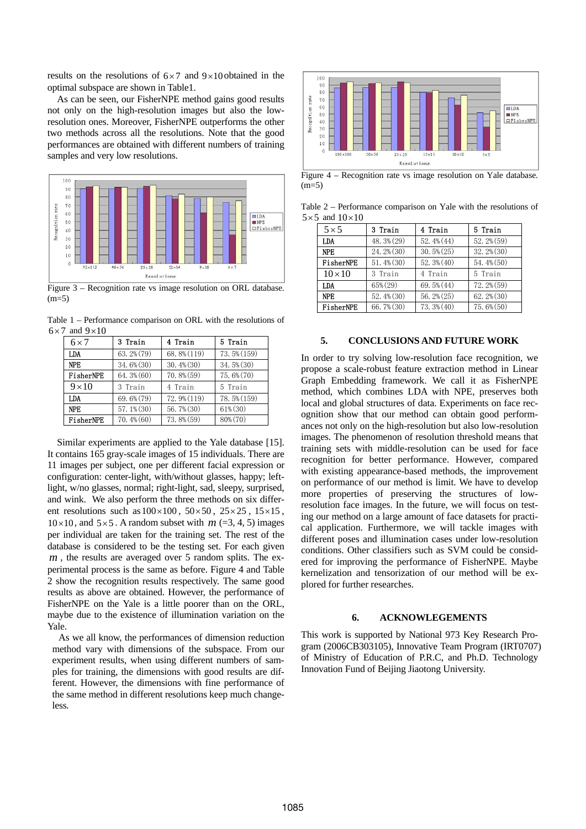results on the resolutions of  $6 \times 7$  and  $9 \times 10$  obtained in the optimal subspace are shown in Table1.

As can be seen, our FisherNPE method gains good results not only on the high-resolution images but also the lowresolution ones. Moreover, FisherNPE outperforms the other two methods across all the resolutions. Note that the good performances are obtained with different numbers of training samples and very low resolutions.



Figure 3 – Recognition rate vs image resolution on ORL database.  $(m=5)$ 

Table 1 – Performance comparison on ORL with the resolutions of  $6 \times 7$  and  $9 \times 10$ 

| $6 \times 7$  | 3 Train         | 4 Train       | 5 Train     |
|---------------|-----------------|---------------|-------------|
| LDA           | 63.2% (79)      | 68.8% (119)   | 73.5% (159) |
| <b>NPF</b>    | 34.6% (30)      | $30.4\%$ (30) | 34.5% (30)  |
| FisherNPE     | $64.3\%$ $(60)$ | $70.8\%$ (59) | 75.6% (70)  |
| $9 \times 10$ | 3 Train         | 4 Train       | 5 Train     |
| LDA           | 69.6% (79)      | 72.9% (119)   | 78.5% (159) |
| <b>NPE</b>    | $57.1\%$ (30)   | 56.7% (30)    | $61\%$ (30) |
| FisherNPE     | $70.4\%$ (60)   | 73.8% (59)    | 80% (70)    |

Similar experiments are applied to the Yale database [15]. It contains 165 gray-scale images of 15 individuals. There are 11 images per subject, one per different facial expression or configuration: center-light, with/without glasses, happy; leftlight, w/no glasses, normal; right-light, sad, sleepy, surprised, and wink. We also perform the three methods on six different resolutions such as  $100 \times 100$ ,  $50 \times 50$ ,  $25 \times 25$ ,  $15 \times 15$ ,  $10 \times 10$ , and  $5 \times 5$ . A random subset with  $m$  (=3, 4, 5) images per individual are taken for the training set. The rest of the database is considered to be the testing set. For each given , the results are averaged over 5 random splits. The ex-*m* perimental process is the same as before. Figure 4 and Table 2 show the recognition results respectively. The same good results as above are obtained. However, the performance of FisherNPE on the Yale is a little poorer than on the ORL, maybe due to the existence of illumination variation on the Yale.

 As we all know, the performances of dimension reduction method vary with dimensions of the subspace. From our experiment results, when using different numbers of samples for training, the dimensions with good results are different. However, the dimensions with fine performance of the same method in different resolutions keep much changeless.



Figure 4 – Recognition rate vs image resolution on Yale database.  $(m=5)$ 

Table 2 – Performance comparison on Yale with the resolutions of  $5 \times 5$  and  $10 \times 10$ 

| $5 \times 5$   | 3 Train       | 4 Train         | 5 Train         |
|----------------|---------------|-----------------|-----------------|
| <b>LDA</b>     | 48.3% (29)    | $52.4\%$ $(44)$ | $52.2\%$ (59)   |
| <b>NPE</b>     | 24.2% (30)    | $30.5\%(25)$    | 32.2% (30)      |
| FisherNPE      | $51.4\%$ (30) | $52.3\%(40)$    | 54.4% (50)      |
| $10 \times 10$ | 3 Train       | 4 Train         | 5 Train         |
| LDA            | 65% (29)      | 69.5% (44)      | $72.2\%$ (59)   |
| <b>NPE</b>     | $52.4\%$ (30) | $56.2\% (25)$   | $62.2\%$ $(30)$ |
| FisherNPE      | 66.7% (30)    | 73.3% (40)      | 75.6% (50)      |

#### **5. CONCLUSIONS AND FUTURE WORK**

In order to try solving low-resolution face recognition, we propose a scale-robust feature extraction method in Linear Graph Embedding framework. We call it as FisherNPE method, which combines LDA with NPE, preserves both local and global structures of data. Experiments on face recognition show that our method can obtain good performances not only on the high-resolution but also low-resolution images. The phenomenon of resolution threshold means that training sets with middle-resolution can be used for face recognition for better performance. However, compared with existing appearance-based methods, the improvement on performance of our method is limit. We have to develop more properties of preserving the structures of lowresolution face images. In the future, we will focus on testing our method on a large amount of face datasets for practical application. Furthermore, we will tackle images with different poses and illumination cases under low-resolution conditions. Other classifiers such as SVM could be considered for improving the performance of FisherNPE. Maybe kernelization and tensorization of our method will be explored for further researches.

#### **6. ACKNOWLEGEMENTS**

This work is supported by National 973 Key Research Program (2006CB303105), Innovative Team Program (IRT0707) of Ministry of Education of P.R.C, and Ph.D. Technology Innovation Fund of Beijing Jiaotong University.